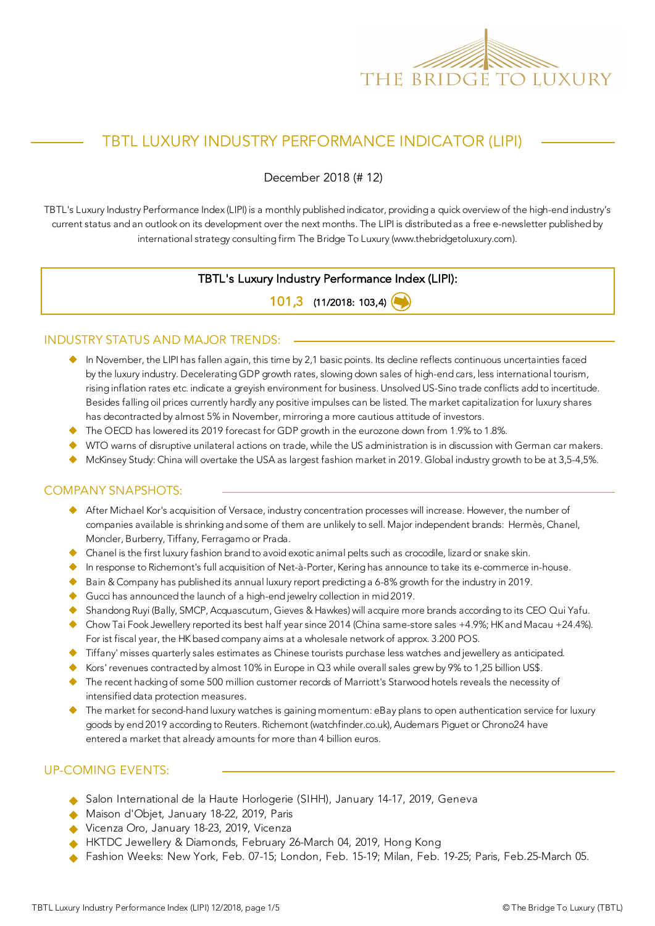

# TBTL LUXURY INDUSTRY PERFORMANCE INDICATOR (LIPI)

December 2018 (# 12)

TBTL's Luxury Industry Performance Index (LIPI) is a monthly published indicator, providing a quick overview of the high-end industry's current status and an outlook on its development over the next months. The LIPI is distributed as a free e-newsletter published by international strategy consulting firm The Bridge To Luxury (www.thebridgetoluxury.com).

### TBTL's Luxury Industry Performance Index (LIPI):

101,3 (11/2018: 103,4)

#### INDUSTRY STATUS AND MAJOR TRENDS:

- $\bullet$  In November, the LIPI has fallen again, this time by 2,1 basic points. Its decline reflects continuous uncertainties faced by the luxury industry. Decelerating GDP growth rates, slowing down sales of high-end cars, less international tourism, rising inflation rates etc. indicate a greyish environment for business. Unsolved US-Sino trade conflicts add to incertitude. Besides falling oil prices currently hardly any positive impulses can be listed. The market capitalization for luxury shares has decontracted by almost 5% in November, mirroring a more cautious attitude of investors.
- $\blacklozenge$  The OECD has lowered its 2019 forecast for GDP growth in the eurozone down from 1.9% to 1.8%.
- ◆ WTO warns of disruptive unilateral actions on trade, while the US administration is in discussion with German car makers.
- $\blacklozenge$  McKinsey Study: China will overtake the USA as largest fashion market in 2019. Global industry growth to be at 3,5-4,5%.

#### COMPANY SNAPSHOTS:

- ◆ After Michael Kor's acquisition of Versace, industry concentration processes will increase. However, the number of companies available is shrinking and some of them are unlikely to sell. Major independent brands: Hermès, Chanel, Moncler, Burberry, Tiffany, Ferragamo or Prada.
- $\blacklozenge$  Chanel is the first luxury fashion brand to avoid exotic animal pelts such as crocodile, lizard or snake skin.
- $\blacklozenge$  In response to Richemont's full acquisition of Net-à-Porter, Kering has announce to take its e-commerce in-house.
- ◆ Bain & Company has published its annual luxury report predicting a 6-8% growth for the industry in 2019.
- Gucci has announced the launch of a high-end jewelry collection in mid 2019.
- Shandong Ruyi (Bally, SMCP, Acquascutum, Gieves & Hawkes) will acquire more brands according to its CEO Qui Yafu.
- ◆ Chow Tai Fook Jewellery reported its best half year since 2014 (China same-store sales +4.9%; HK and Macau +24.4%). For ist fiscal year, the HK based company aims at a wholesale network of approx. 3.200 POS.
- $\blacklozenge$  Tiffany' misses quarterly sales estimates as Chinese tourists purchase less watches and jewellery as anticipated.
- Kors' revenues contracted by almost 10% in Europe in Q3 while overall sales grew by 9% to 1,25 billion US\$.
- $\blacklozenge$  The recent hacking of some 500 million customer records of Marriott's Starwood hotels reveals the necessity of intensified data protection measures.
- ◆ The market for second-hand luxury watches is gaining momentum: eBay plans to open authentication service for luxury goods by end 2019 according to Reuters. Richemont (watchfinder.co.uk), Audemars Piguet or Chrono24 have entered a market that already amounts for more than 4 billion euros.

#### UP-COMING EVENTS:

- ◆ Salon International de la Haute Horlogerie (SIHH), January 14-17, 2019, Geneva
- Maison d'Objet, January 18-22, 2019, Paris
- Vicenza Oro, January 18-23, 2019, Vicenza
- HKTDC Jewellery & Diamonds, February 26-March 04, 2019, Hong Kong
- u Fashion Weeks: New York, Feb. 07-15; London, Feb. 15-19; Milan, Feb. 19-25; Paris, Feb.25-March 05.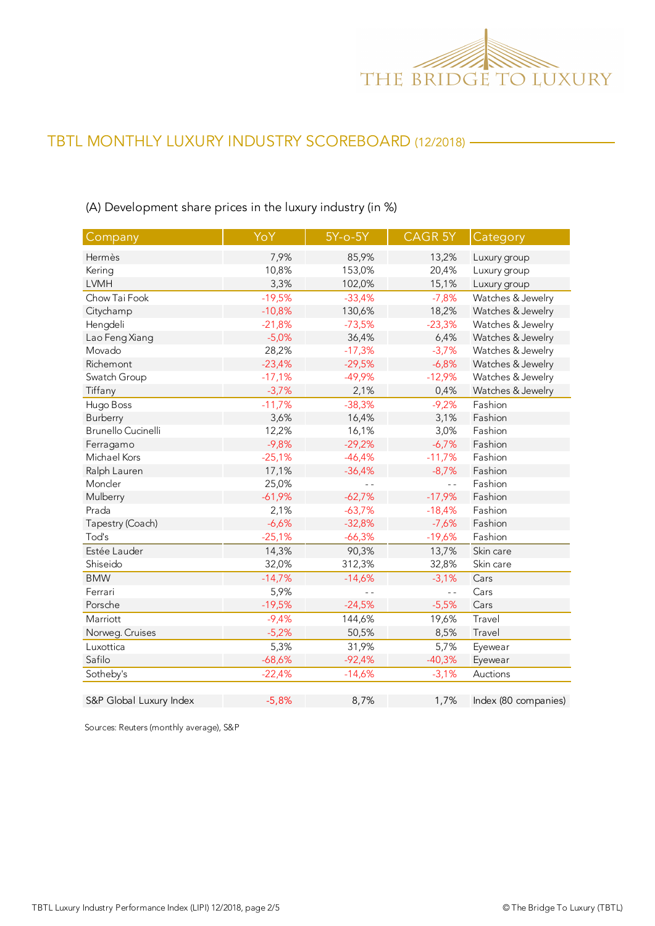

## (A) Development share prices in the luxury industry (in %)

| Company                 | YoY      | 5Y-o-5Y  | <b>CAGR 5Y</b> | Category             |
|-------------------------|----------|----------|----------------|----------------------|
| Hermès                  | 7,9%     | 85,9%    | 13,2%          | Luxury group         |
| Kering                  | 10,8%    | 153,0%   | 20,4%          | Luxury group         |
| <b>LVMH</b>             | 3,3%     | 102,0%   | 15,1%          | Luxury group         |
| Chow Tai Fook           | $-19,5%$ | $-33,4%$ | $-7,8%$        | Watches & Jewelry    |
| Citychamp               | $-10,8%$ | 130,6%   | 18,2%          | Watches & Jewelry    |
| Hengdeli                | $-21,8%$ | $-73,5%$ | $-23,3%$       | Watches & Jewelry    |
| Lao Feng Xiang          | $-5,0%$  | 36,4%    | 6,4%           | Watches & Jewelry    |
| Movado                  | 28,2%    | $-17,3%$ | $-3,7%$        | Watches & Jewelry    |
| Richemont               | $-23,4%$ | $-29,5%$ | $-6,8%$        | Watches & Jewelry    |
| Swatch Group            | $-17,1%$ | $-49,9%$ | $-12,9%$       | Watches & Jewelry    |
| Tiffany                 | $-3,7%$  | 2,1%     | 0,4%           | Watches & Jewelry    |
| Hugo Boss               | $-11,7%$ | $-38,3%$ | $-9,2%$        | Fashion              |
| Burberry                | 3,6%     | 16,4%    | 3,1%           | Fashion              |
| Brunello Cucinelli      | 12,2%    | 16,1%    | 3,0%           | Fashion              |
| Ferragamo               | $-9,8%$  | $-29,2%$ | $-6,7%$        | Fashion              |
| Michael Kors            | $-25,1%$ | $-46,4%$ | $-11,7%$       | Fashion              |
| Ralph Lauren            | 17,1%    | $-36,4%$ | $-8,7%$        | Fashion              |
| Moncler                 | 25,0%    |          | $ -$           | Fashion              |
| Mulberry                | $-61,9%$ | $-62,7%$ | $-17,9%$       | Fashion              |
| Prada                   | 2,1%     | $-63,7%$ | $-18,4%$       | Fashion              |
| Tapestry (Coach)        | $-6,6%$  | $-32,8%$ | $-7,6%$        | Fashion              |
| Tod's                   | $-25,1%$ | $-66,3%$ | $-19,6%$       | Fashion              |
| Estée Lauder            | 14,3%    | 90,3%    | 13,7%          | Skin care            |
| Shiseido                | 32,0%    | 312,3%   | 32,8%          | Skin care            |
| <b>BMW</b>              | $-14,7%$ | $-14,6%$ | $-3,1%$        | Cars                 |
| Ferrari                 | 5,9%     |          | $ -$           | Cars                 |
| Porsche                 | $-19,5%$ | $-24,5%$ | $-5,5%$        | Cars                 |
| Marriott                | $-9,4%$  | 144,6%   | 19,6%          | Travel               |
| Norweg. Cruises         | $-5,2%$  | 50,5%    | 8,5%           | Travel               |
| Luxottica               | 5,3%     | 31,9%    | 5,7%           | Eyewear              |
| Safilo                  | $-68,6%$ | $-92,4%$ | $-40,3%$       | Eyewear              |
| Sotheby's               | $-22,4%$ | $-14,6%$ | $-3,1%$        | Auctions             |
| S&P Global Luxury Index | $-5,8%$  | 8,7%     | 1,7%           | Index (80 companies) |

Sources: Reuters (monthly average), S&P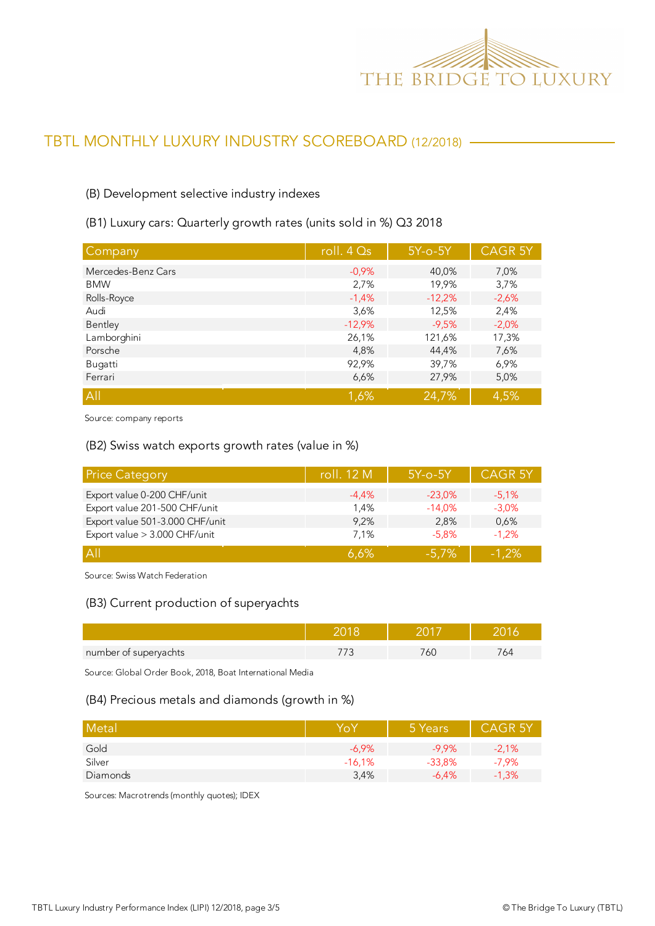

#### (B) Development selective industry indexes

(B1) Luxury cars: Quarterly growth rates (units sold in %) Q3 2018

| Company            | roll. 4 Qs | $5Y$ -o- $5Y$ | <b>CAGR 5Y</b> |
|--------------------|------------|---------------|----------------|
| Mercedes-Benz Cars | $-0.9%$    | 40,0%         | 7,0%           |
| <b>BMW</b>         | 2,7%       | 19,9%         | 3,7%           |
| Rolls-Royce        | $-1,4%$    | $-12,2%$      | $-2,6%$        |
| Audi               | 3,6%       | 12,5%         | 2,4%           |
| Bentley            | $-12,9%$   | $-9,5%$       | $-2,0%$        |
| Lamborghini        | 26,1%      | 121,6%        | 17,3%          |
| Porsche            | 4,8%       | 44,4%         | 7,6%           |
| Bugatti            | 92,9%      | 39,7%         | 6,9%           |
| Ferrari            | 6,6%       | 27,9%         | 5,0%           |
| All                | 1,6%       | 24,7%         | 4,5%           |

Source: company reports

#### (B2) Swiss watch exports growth rates (value in %)

| <b>Price Category</b>           | roll. 12 M | $5Y$ -o- $5Y$ | <b>CAGR 5Y</b> |
|---------------------------------|------------|---------------|----------------|
| Export value 0-200 CHF/unit     | $-4,4%$    | $-23.0\%$     | $-5.1%$        |
| Export value 201-500 CHF/unit   | 1.4%       | $-14.0%$      | $-3,0%$        |
| Export value 501-3.000 CHF/unit | 9,2%       | 2.8%          | 0,6%           |
| Export value > 3.000 CHF/unit   | 7.1%       | $-5.8%$       | $-1.2%$        |
| A                               | 6.6%       | $-5.7%$       | $-1.2%$        |

Source: Swiss Watch Federation

#### (B3) Current production of superyachts

| number of superyachts | ור |  |
|-----------------------|----|--|

Source: Global Order Book, 2018, Boat International Media

#### (B4) Precious metals and diamonds (growth in %)

| Metal    | YoY      | 5 Years  | <b>CAGR 5Y</b> |
|----------|----------|----------|----------------|
| Gold     | $-6.9%$  | $-9.9%$  | $-2.1%$        |
| Silver   | $-16,1%$ | $-33,8%$ | $-7,9%$        |
| Diamonds | 3,4%     | $-6.4%$  | $-1,3%$        |

Sources: Macrotrends (monthly quotes); IDEX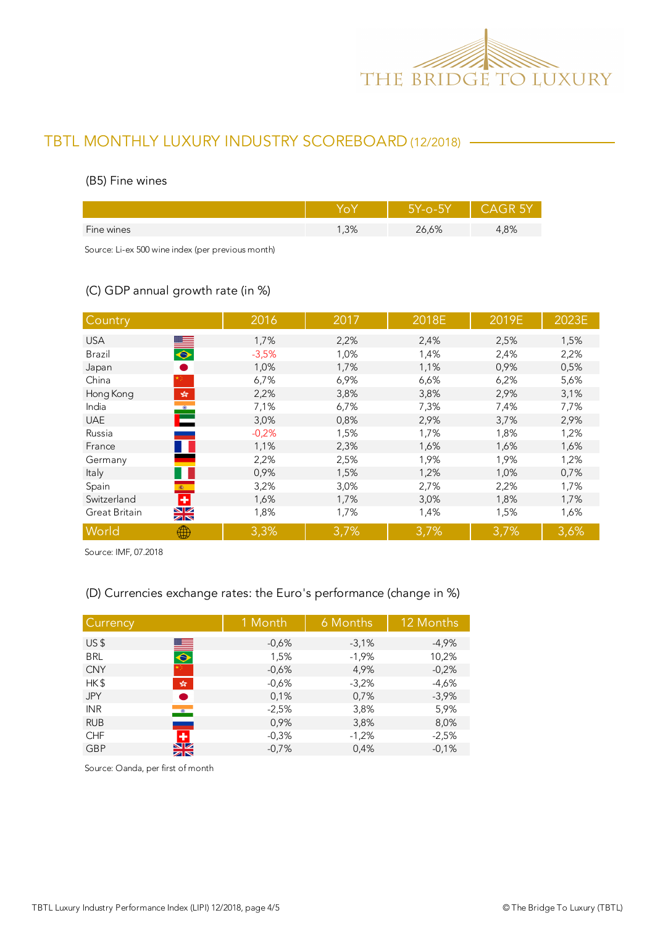

#### (B5) Fine wines

|            |     | 75Y-0-5Y |      |
|------------|-----|----------|------|
| Fine wines | ,3% | 26,6%    | 1,8% |
|            |     |          |      |

Source: Li-ex 500 wine index (per previous month)

## (C) GDP annual growth rate (in %)

| Country                                                               | 2016    | 2017 | 2018E | 2019E | 2023E |
|-----------------------------------------------------------------------|---------|------|-------|-------|-------|
| <b>USA</b>                                                            | 1,7%    | 2,2% | 2,4%  | 2,5%  | 1,5%  |
| $\bullet$<br>Brazil                                                   | $-3,5%$ | 1,0% | 1,4%  | 2,4%  | 2,2%  |
| Japan                                                                 | 1,0%    | 1,7% | 1,1%  | 0,9%  | 0,5%  |
| China                                                                 | 6,7%    | 6,9% | 6,6%  | 6,2%  | 5,6%  |
| Hong Kong<br>$\mathcal{L}_\mathcal{R}^\text{P}$                       | 2,2%    | 3,8% | 3,8%  | 2,9%  | 3,1%  |
| $\begin{array}{c} \bullet \\ \bullet \\ \bullet \end{array}$<br>India | 7,1%    | 6,7% | 7,3%  | 7,4%  | 7,7%  |
| <b>UAE</b>                                                            | 3,0%    | 0,8% | 2,9%  | 3,7%  | 2,9%  |
| Russia                                                                | $-0,2%$ | 1,5% | 1,7%  | 1,8%  | 1,2%  |
| France                                                                | 1,1%    | 2,3% | 1,6%  | 1,6%  | 1,6%  |
| Germany                                                               | 2,2%    | 2,5% | 1,9%  | 1,9%  | 1,2%  |
| Italy                                                                 | 0,9%    | 1,5% | 1,2%  | 1,0%  | 0,7%  |
| Spain<br>(数)                                                          | 3,2%    | 3,0% | 2,7%  | 2,2%  | 1,7%  |
| ٠<br>Switzerland                                                      | 1,6%    | 1,7% | 3,0%  | 1,8%  | 1,7%  |
| XK<br>Great Britain                                                   | 1,8%    | 1,7% | 1,4%  | 1,5%  | 1,6%  |
| World<br>₩                                                            | 3,3%    | 3,7% | 3,7%  | 3,7%  | 3,6%  |

Source: IMF, 07.2018

## (D) Currencies exchange rates: the Euro's performance (change in %)

| Currency   |                              | 1 Month | 6 Months | 12 Months |
|------------|------------------------------|---------|----------|-----------|
| US\$       |                              | $-0,6%$ | $-3,1%$  | $-4,9%$   |
| <b>BRL</b> | $\blacksquare$               | 1,5%    | $-1,9%$  | 10,2%     |
| <b>CNY</b> |                              | $-0,6%$ | 4,9%     | $-0,2%$   |
| HK\$       | $\frac{\sqrt{2}}{2\sqrt{3}}$ | $-0,6%$ | $-3,2%$  | $-4,6%$   |
| <b>JPY</b> |                              | 0,1%    | 0,7%     | $-3,9%$   |
| <b>INR</b> | $\bullet$                    | $-2,5%$ | 3,8%     | 5,9%      |
| <b>RUB</b> |                              | 0,9%    | 3,8%     | 8,0%      |
| <b>CHF</b> | Æ                            | $-0.3%$ | $-1,2%$  | $-2,5%$   |
| <b>GBP</b> | $\frac{N}{N}$                | $-0,7%$ | 0,4%     | $-0,1%$   |

Source: Oanda, per first of month